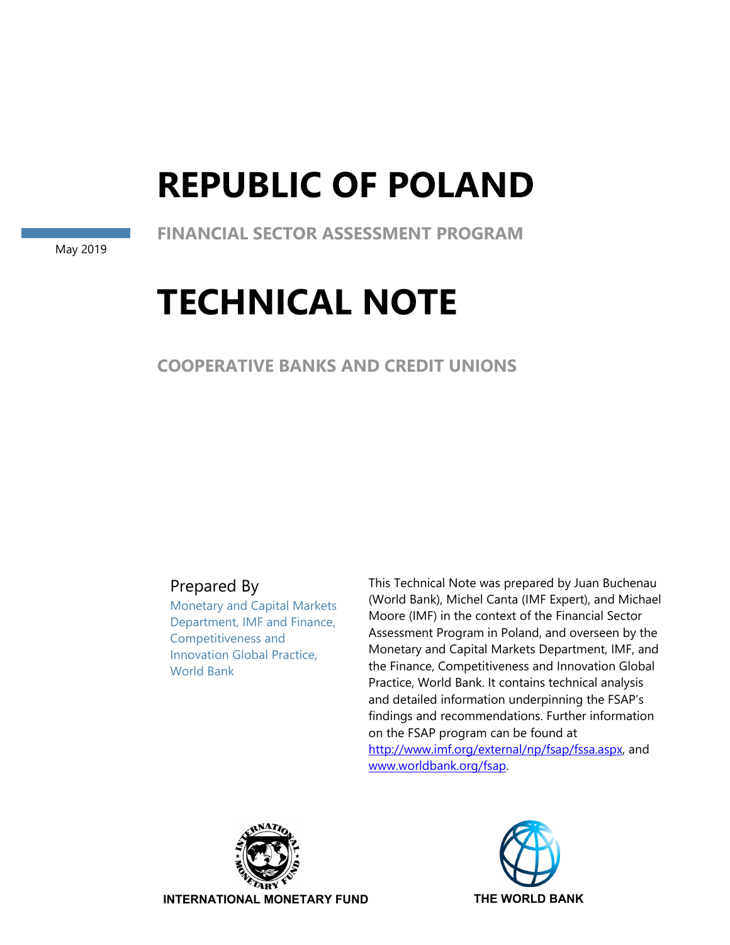# **REPUBLIC OF POLAND**

**FINANCIAL SECTOR ASSESSMENT PROGRAM** 

May 2019

# **TECHNICAL NOTE**

**COOPERATIVE BANKS AND CREDIT UNIONS** 

Prepared By

Monetary and Capital Markets Department, IMF and Finance, Competitiveness and Innovation Global Practice, World Bank

This Technical Note was prepared by Juan Buchenau (World Bank), Michel Canta (IMF Expert), and Michael Moore (IMF) in the context of the Financial Sector Assessment Program in Poland, and overseen by the Monetary and Capital Markets Department, IMF, and the Finance, Competitiveness and Innovation Global Practice, World Bank. It contains technical analysis and detailed information underpinning the FSAP's findings and recommendations. Further information on the FSAP program can be found at http://www.imf.org/external/np/fsap/fssa.aspx, and www.worldbank.org/fsap.



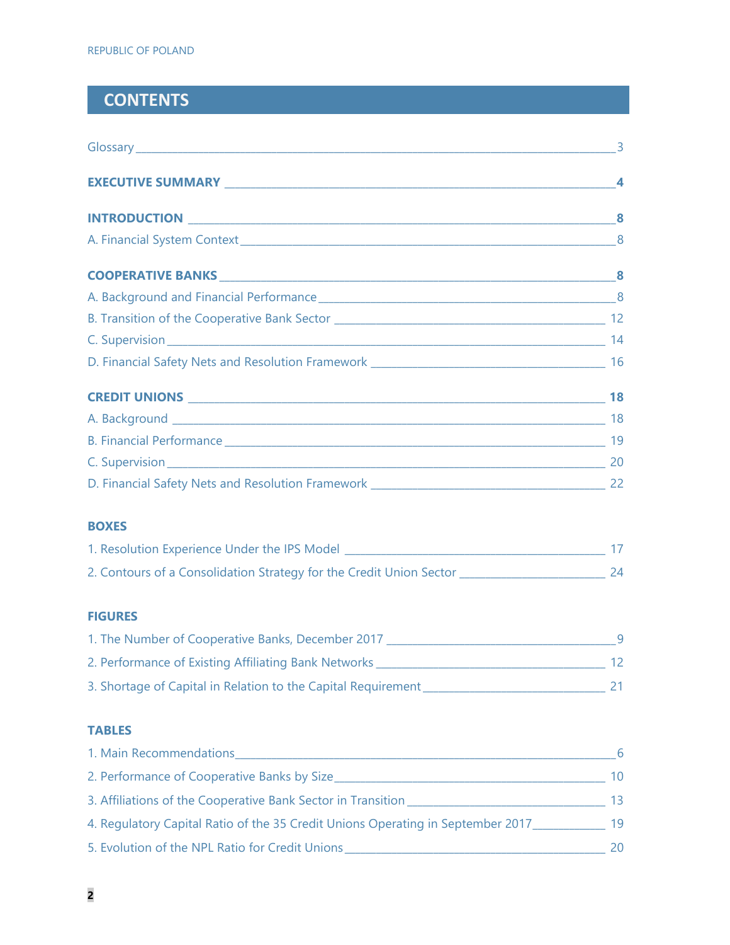# **CONTENTS**

| <b>BOXES</b>                                                                                    |  |
|-------------------------------------------------------------------------------------------------|--|
|                                                                                                 |  |
|                                                                                                 |  |
| <b>FIGURES</b>                                                                                  |  |
|                                                                                                 |  |
|                                                                                                 |  |
|                                                                                                 |  |
| <b>TABLES</b>                                                                                   |  |
|                                                                                                 |  |
|                                                                                                 |  |
|                                                                                                 |  |
| 4. Regulatory Capital Ratio of the 35 Credit Unions Operating in September 2017_____________ 19 |  |
|                                                                                                 |  |
|                                                                                                 |  |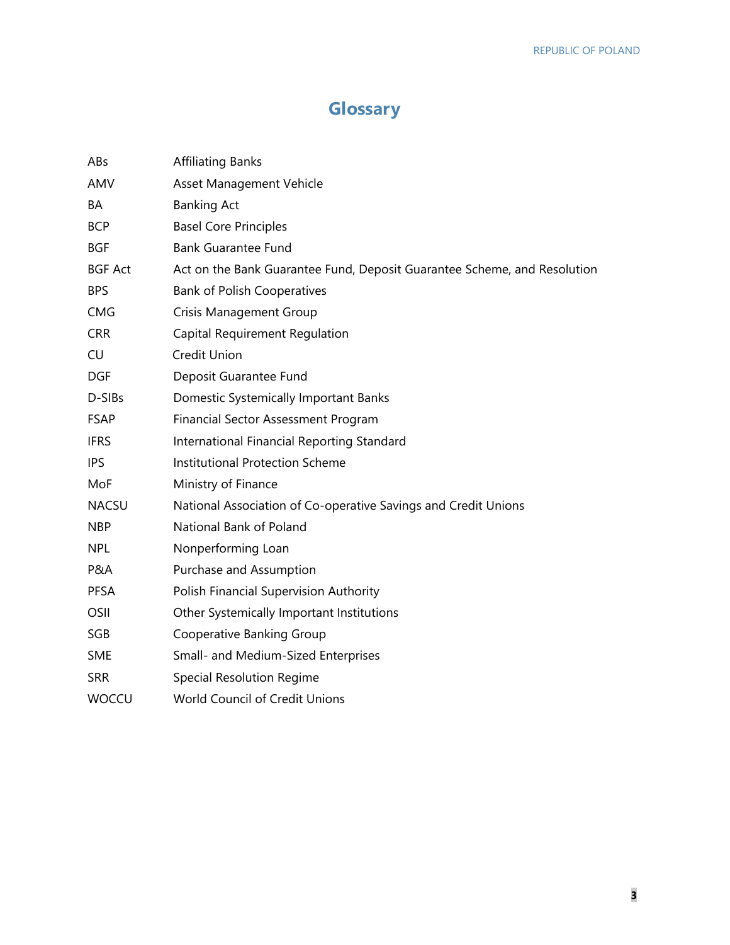# **Glossary**

| ABs            | <b>Affiliating Banks</b>                                                 |
|----------------|--------------------------------------------------------------------------|
| AMV            | Asset Management Vehicle                                                 |
| BA             | <b>Banking Act</b>                                                       |
| <b>BCP</b>     | <b>Basel Core Principles</b>                                             |
| <b>BGF</b>     | <b>Bank Guarantee Fund</b>                                               |
| <b>BGF Act</b> | Act on the Bank Guarantee Fund, Deposit Guarantee Scheme, and Resolution |
| <b>BPS</b>     | <b>Bank of Polish Cooperatives</b>                                       |
| <b>CMG</b>     | <b>Crisis Management Group</b>                                           |
| <b>CRR</b>     | Capital Requirement Regulation                                           |
| <b>CU</b>      | Credit Union                                                             |
| <b>DGF</b>     | Deposit Guarantee Fund                                                   |
| D-SIBs         | Domestic Systemically Important Banks                                    |
| <b>FSAP</b>    | Financial Sector Assessment Program                                      |
| <b>IFRS</b>    | International Financial Reporting Standard                               |
| <b>IPS</b>     | <b>Institutional Protection Scheme</b>                                   |
| MoF            | Ministry of Finance                                                      |
| <b>NACSU</b>   | National Association of Co-operative Savings and Credit Unions           |
| <b>NBP</b>     | National Bank of Poland                                                  |
| <b>NPL</b>     | Nonperforming Loan                                                       |
| P&A            | Purchase and Assumption                                                  |
| <b>PFSA</b>    | Polish Financial Supervision Authority                                   |
| OSII           | Other Systemically Important Institutions                                |
| SGB            | Cooperative Banking Group                                                |
| <b>SME</b>     | Small- and Medium-Sized Enterprises                                      |
| <b>SRR</b>     | <b>Special Resolution Regime</b>                                         |
| <b>WOCCU</b>   | World Council of Credit Unions                                           |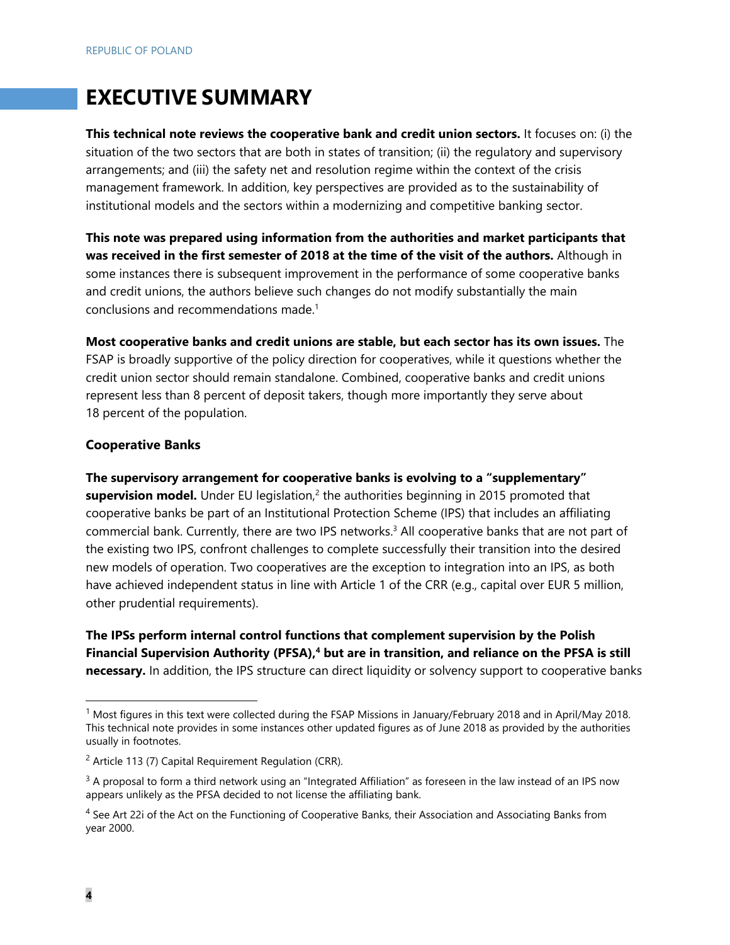# **EXECUTIVE SUMMARY**

**This technical note reviews the cooperative bank and credit union sectors.** It focuses on: (i) the situation of the two sectors that are both in states of transition; (ii) the regulatory and supervisory arrangements; and (iii) the safety net and resolution regime within the context of the crisis management framework. In addition, key perspectives are provided as to the sustainability of institutional models and the sectors within a modernizing and competitive banking sector.

**This note was prepared using information from the authorities and market participants that was received in the first semester of 2018 at the time of the visit of the authors.** Although in some instances there is subsequent improvement in the performance of some cooperative banks and credit unions, the authors believe such changes do not modify substantially the main conclusions and recommendations made.1

**Most cooperative banks and credit unions are stable, but each sector has its own issues.** The FSAP is broadly supportive of the policy direction for cooperatives, while it questions whether the credit union sector should remain standalone. Combined, cooperative banks and credit unions represent less than 8 percent of deposit takers, though more importantly they serve about 18 percent of the population.

#### **Cooperative Banks**

**The supervisory arrangement for cooperative banks is evolving to a "supplementary"**  supervision model. Under EU legislation,<sup>2</sup> the authorities beginning in 2015 promoted that cooperative banks be part of an Institutional Protection Scheme (IPS) that includes an affiliating commercial bank. Currently, there are two IPS networks.<sup>3</sup> All cooperative banks that are not part of the existing two IPS, confront challenges to complete successfully their transition into the desired new models of operation. Two cooperatives are the exception to integration into an IPS, as both have achieved independent status in line with Article 1 of the CRR (e.g., capital over EUR 5 million, other prudential requirements).

**The IPSs perform internal control functions that complement supervision by the Polish**  Financial Supervision Authority (PFSA),<sup>4</sup> but are in transition, and reliance on the PFSA is still **necessary.** In addition, the IPS structure can direct liquidity or solvency support to cooperative banks

<sup>1</sup> Most figures in this text were collected during the FSAP Missions in January/February 2018 and in April/May 2018. This technical note provides in some instances other updated figures as of June 2018 as provided by the authorities usually in footnotes.

 $2$  Article 113 (7) Capital Requirement Regulation (CRR).

 $3$  A proposal to form a third network using an "Integrated Affiliation" as foreseen in the law instead of an IPS now appears unlikely as the PFSA decided to not license the affiliating bank.

<sup>&</sup>lt;sup>4</sup> See Art 22i of the Act on the Functioning of Cooperative Banks, their Association and Associating Banks from year 2000.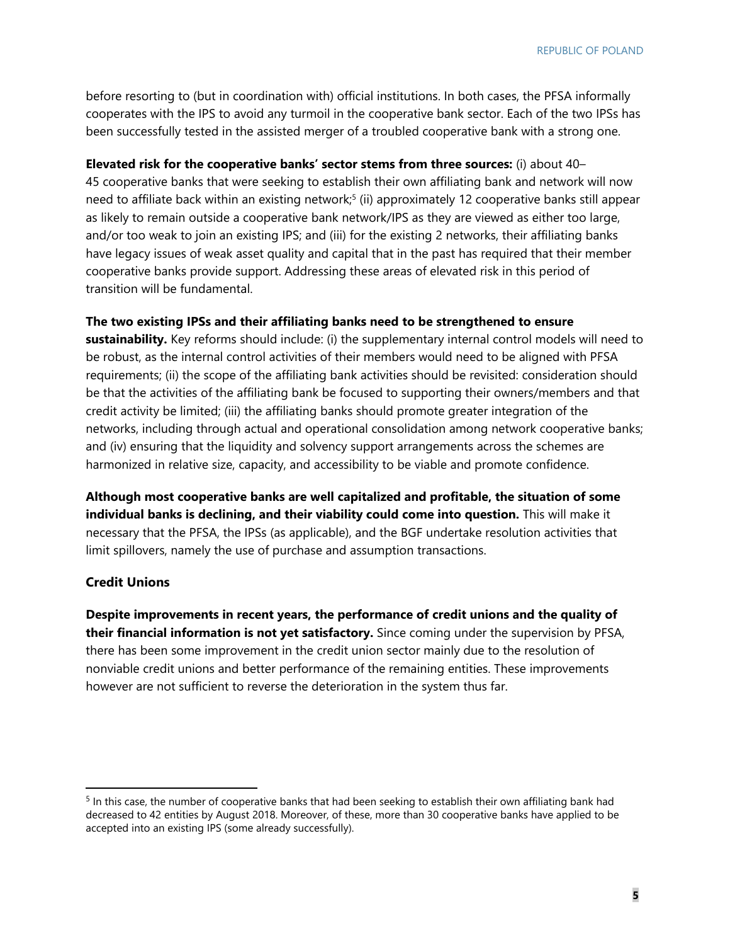before resorting to (but in coordination with) official institutions. In both cases, the PFSA informally cooperates with the IPS to avoid any turmoil in the cooperative bank sector. Each of the two IPSs has been successfully tested in the assisted merger of a troubled cooperative bank with a strong one.

#### **Elevated risk for the cooperative banks' sector stems from three sources:** (i) about 40–

45 cooperative banks that were seeking to establish their own affiliating bank and network will now need to affiliate back within an existing network;<sup>5</sup> (ii) approximately 12 cooperative banks still appear as likely to remain outside a cooperative bank network/IPS as they are viewed as either too large, and/or too weak to join an existing IPS; and (iii) for the existing 2 networks, their affiliating banks have legacy issues of weak asset quality and capital that in the past has required that their member cooperative banks provide support. Addressing these areas of elevated risk in this period of transition will be fundamental.

#### **The two existing IPSs and their affiliating banks need to be strengthened to ensure**

**sustainability.** Key reforms should include: (i) the supplementary internal control models will need to be robust, as the internal control activities of their members would need to be aligned with PFSA requirements; (ii) the scope of the affiliating bank activities should be revisited: consideration should be that the activities of the affiliating bank be focused to supporting their owners/members and that credit activity be limited; (iii) the affiliating banks should promote greater integration of the networks, including through actual and operational consolidation among network cooperative banks; and (iv) ensuring that the liquidity and solvency support arrangements across the schemes are harmonized in relative size, capacity, and accessibility to be viable and promote confidence.

**Although most cooperative banks are well capitalized and profitable, the situation of some individual banks is declining, and their viability could come into question.** This will make it necessary that the PFSA, the IPSs (as applicable), and the BGF undertake resolution activities that limit spillovers, namely the use of purchase and assumption transactions.

#### **Credit Unions**

**Despite improvements in recent years, the performance of credit unions and the quality of their financial information is not yet satisfactory.** Since coming under the supervision by PFSA, there has been some improvement in the credit union sector mainly due to the resolution of nonviable credit unions and better performance of the remaining entities. These improvements however are not sufficient to reverse the deterioration in the system thus far.

<sup>&</sup>lt;sup>5</sup> In this case, the number of cooperative banks that had been seeking to establish their own affiliating bank had decreased to 42 entities by August 2018. Moreover, of these, more than 30 cooperative banks have applied to be accepted into an existing IPS (some already successfully).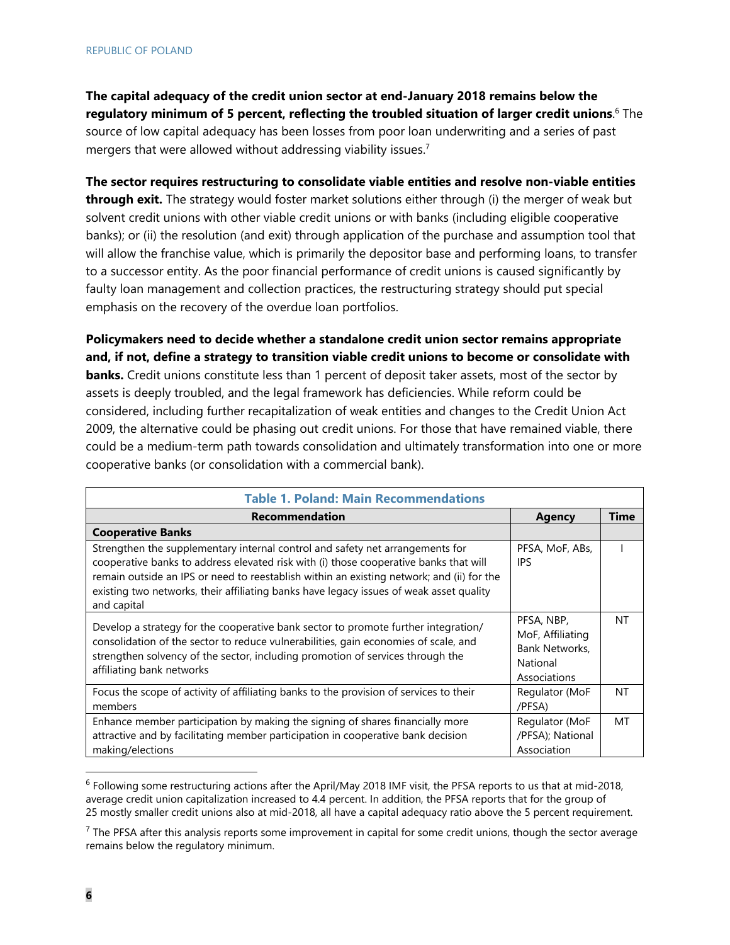**The capital adequacy of the credit union sector at end-January 2018 remains below the regulatory minimum of 5 percent, reflecting the troubled situation of larger credit unions**. 6 The source of low capital adequacy has been losses from poor loan underwriting and a series of past mergers that were allowed without addressing viability issues.<sup>7</sup>

**The sector requires restructuring to consolidate viable entities and resolve non-viable entities through exit.** The strategy would foster market solutions either through (i) the merger of weak but solvent credit unions with other viable credit unions or with banks (including eligible cooperative banks); or (ii) the resolution (and exit) through application of the purchase and assumption tool that will allow the franchise value, which is primarily the depositor base and performing loans, to transfer to a successor entity. As the poor financial performance of credit unions is caused significantly by faulty loan management and collection practices, the restructuring strategy should put special emphasis on the recovery of the overdue loan portfolios.

**Policymakers need to decide whether a standalone credit union sector remains appropriate and, if not, define a strategy to transition viable credit unions to become or consolidate with banks.** Credit unions constitute less than 1 percent of deposit taker assets, most of the sector by assets is deeply troubled, and the legal framework has deficiencies. While reform could be considered, including further recapitalization of weak entities and changes to the Credit Union Act 2009, the alternative could be phasing out credit unions. For those that have remained viable, there could be a medium-term path towards consolidation and ultimately transformation into one or more cooperative banks (or consolidation with a commercial bank).

| <b>Table 1. Poland: Main Recommendations</b>                                                                                                                                                                                                                                                                                                                                  |                                                                              |             |  |  |  |
|-------------------------------------------------------------------------------------------------------------------------------------------------------------------------------------------------------------------------------------------------------------------------------------------------------------------------------------------------------------------------------|------------------------------------------------------------------------------|-------------|--|--|--|
| <b>Recommendation</b>                                                                                                                                                                                                                                                                                                                                                         | <b>Agency</b>                                                                | <b>Time</b> |  |  |  |
| <b>Cooperative Banks</b>                                                                                                                                                                                                                                                                                                                                                      |                                                                              |             |  |  |  |
| Strengthen the supplementary internal control and safety net arrangements for<br>cooperative banks to address elevated risk with (i) those cooperative banks that will<br>remain outside an IPS or need to reestablish within an existing network; and (ii) for the<br>existing two networks, their affiliating banks have legacy issues of weak asset quality<br>and capital | PFSA, MoF, ABs,<br><b>IPS</b>                                                |             |  |  |  |
| Develop a strategy for the cooperative bank sector to promote further integration/<br>consolidation of the sector to reduce vulnerabilities, gain economies of scale, and<br>strengthen solvency of the sector, including promotion of services through the<br>affiliating bank networks                                                                                      | PFSA, NBP,<br>MoF, Affiliating<br>Bank Networks.<br>National<br>Associations | <b>NT</b>   |  |  |  |
| Focus the scope of activity of affiliating banks to the provision of services to their<br>members                                                                                                                                                                                                                                                                             | Regulator (MoF<br>/PFSA)                                                     | NT          |  |  |  |
| Enhance member participation by making the signing of shares financially more<br>attractive and by facilitating member participation in cooperative bank decision<br>making/elections                                                                                                                                                                                         | Regulator (MoF<br>/PFSA); National<br>Association                            | MT          |  |  |  |

<sup>6</sup> Following some restructuring actions after the April/May 2018 IMF visit, the PFSA reports to us that at mid-2018, average credit union capitalization increased to 4.4 percent. In addition, the PFSA reports that for the group of 25 mostly smaller credit unions also at mid-2018, all have a capital adequacy ratio above the 5 percent requirement.

 $<sup>7</sup>$  The PFSA after this analysis reports some improvement in capital for some credit unions, though the sector average</sup> remains below the regulatory minimum.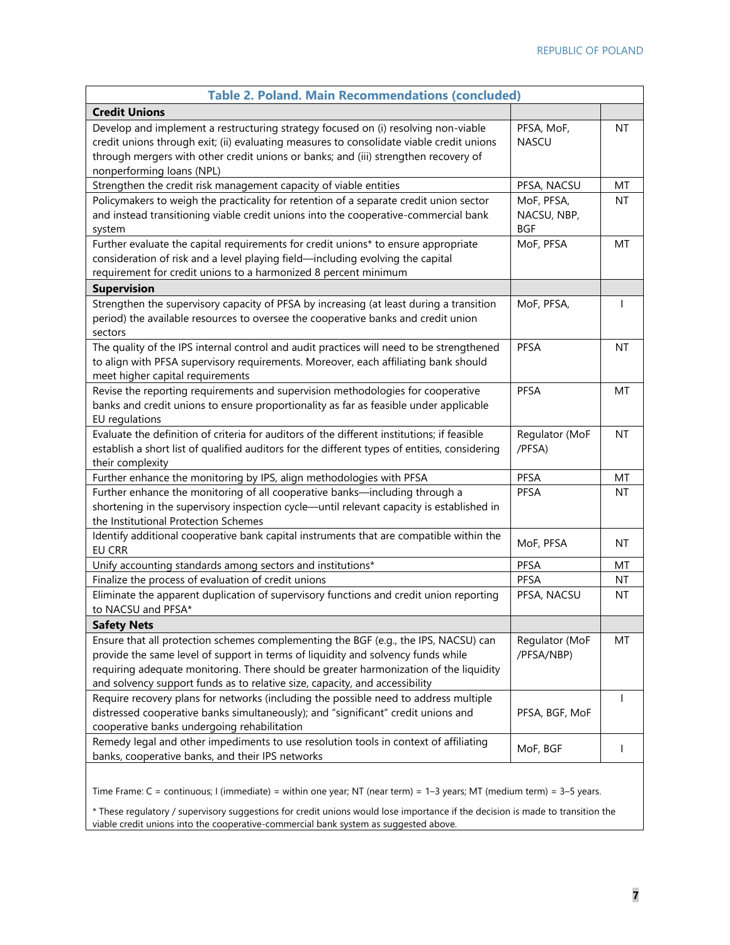| <b>Table 2. Poland. Main Recommendations (concluded)</b>                                                                                                                                                                                                                                                                                        |                                         |              |
|-------------------------------------------------------------------------------------------------------------------------------------------------------------------------------------------------------------------------------------------------------------------------------------------------------------------------------------------------|-----------------------------------------|--------------|
| <b>Credit Unions</b>                                                                                                                                                                                                                                                                                                                            |                                         |              |
| Develop and implement a restructuring strategy focused on (i) resolving non-viable<br>credit unions through exit; (ii) evaluating measures to consolidate viable credit unions<br>through mergers with other credit unions or banks; and (iii) strengthen recovery of<br>nonperforming loans (NPL)                                              | PFSA, MoF,<br><b>NASCU</b>              | ΝT           |
| Strengthen the credit risk management capacity of viable entities                                                                                                                                                                                                                                                                               | PFSA, NACSU                             | MT           |
| Policymakers to weigh the practicality for retention of a separate credit union sector<br>and instead transitioning viable credit unions into the cooperative-commercial bank<br>system                                                                                                                                                         | MoF, PFSA,<br>NACSU, NBP,<br><b>BGF</b> | <b>NT</b>    |
| Further evaluate the capital requirements for credit unions* to ensure appropriate<br>consideration of risk and a level playing field-including evolving the capital<br>requirement for credit unions to a harmonized 8 percent minimum                                                                                                         | MoF, PFSA                               | MT           |
| <b>Supervision</b>                                                                                                                                                                                                                                                                                                                              |                                         |              |
| Strengthen the supervisory capacity of PFSA by increasing (at least during a transition<br>period) the available resources to oversee the cooperative banks and credit union<br>sectors                                                                                                                                                         | MoF, PFSA,                              | $\mathbf{I}$ |
| The quality of the IPS internal control and audit practices will need to be strengthened<br>to align with PFSA supervisory requirements. Moreover, each affiliating bank should<br>meet higher capital requirements                                                                                                                             | PFSA                                    | NT           |
| Revise the reporting requirements and supervision methodologies for cooperative<br>banks and credit unions to ensure proportionality as far as feasible under applicable<br>EU regulations                                                                                                                                                      | PFSA                                    | МT           |
| Evaluate the definition of criteria for auditors of the different institutions; if feasible<br>establish a short list of qualified auditors for the different types of entities, considering<br>their complexity                                                                                                                                | Regulator (MoF<br>/PFSA)                | <b>NT</b>    |
| Further enhance the monitoring by IPS, align methodologies with PFSA                                                                                                                                                                                                                                                                            | PFSA                                    | MT           |
| Further enhance the monitoring of all cooperative banks-including through a<br>shortening in the supervisory inspection cycle-until relevant capacity is established in<br>the Institutional Protection Schemes                                                                                                                                 | <b>PFSA</b>                             | NT           |
| Identify additional cooperative bank capital instruments that are compatible within the<br><b>EU CRR</b>                                                                                                                                                                                                                                        | MoF, PFSA                               | ΝT           |
| Unify accounting standards among sectors and institutions*                                                                                                                                                                                                                                                                                      | PFSA                                    | МT           |
| Finalize the process of evaluation of credit unions                                                                                                                                                                                                                                                                                             | PFSA                                    | NT           |
| Eliminate the apparent duplication of supervisory functions and credit union reporting<br>to NACSU and PFSA*                                                                                                                                                                                                                                    | PFSA, NACSU                             | NT           |
| <b>Safety Nets</b>                                                                                                                                                                                                                                                                                                                              |                                         |              |
| Ensure that all protection schemes complementing the BGF (e.g., the IPS, NACSU) can<br>provide the same level of support in terms of liquidity and solvency funds while<br>requiring adequate monitoring. There should be greater harmonization of the liquidity<br>and solvency support funds as to relative size, capacity, and accessibility | Regulator (MoF<br>/PFSA/NBP)            | MT           |
| Require recovery plans for networks (including the possible need to address multiple<br>distressed cooperative banks simultaneously); and "significant" credit unions and<br>cooperative banks undergoing rehabilitation                                                                                                                        | PFSA, BGF, MoF                          | L            |
| Remedy legal and other impediments to use resolution tools in context of affiliating<br>banks, cooperative banks, and their IPS networks                                                                                                                                                                                                        | MoF, BGF                                |              |

Time Frame: C = continuous; I (immediate) = within one year; NT (near term) = 1–3 years; MT (medium term) = 3–5 years.

\* These regulatory / supervisory suggestions for credit unions would lose importance if the decision is made to transition the viable credit unions into the cooperative-commercial bank system as suggested above.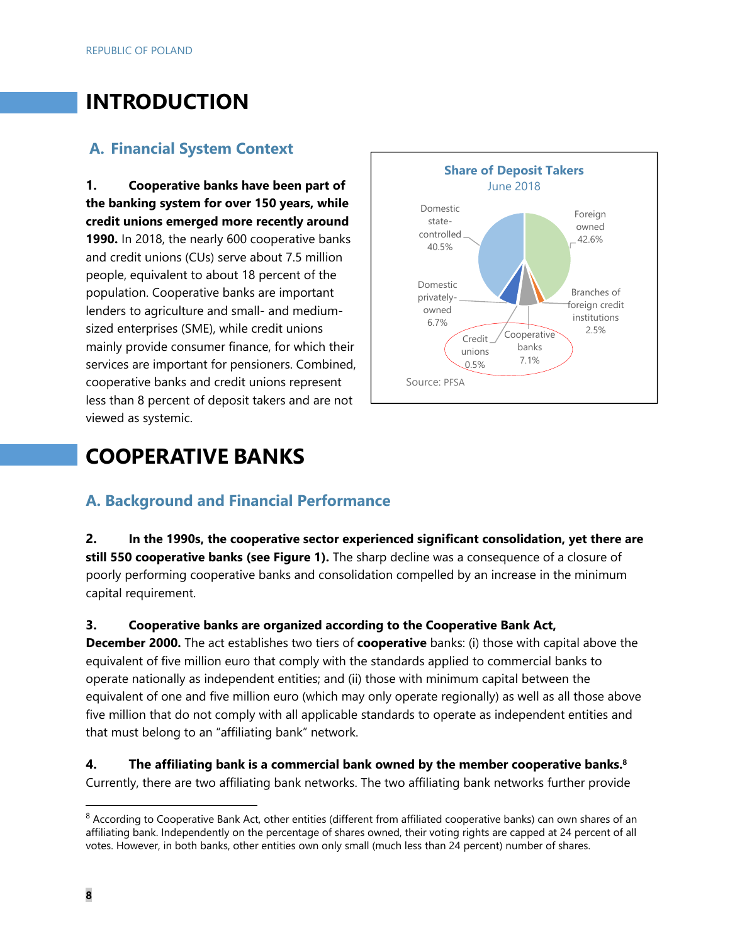# **INTRODUCTION**

## **A. Financial System Context**

**1. Cooperative banks have been part of the banking system for over 150 years, while credit unions emerged more recently around 1990.** In 2018, the nearly 600 cooperative banks and credit unions (CUs) serve about 7.5 million people, equivalent to about 18 percent of the population. Cooperative banks are important lenders to agriculture and small- and mediumsized enterprises (SME), while credit unions mainly provide consumer finance, for which their services are important for pensioners. Combined, cooperative banks and credit unions represent less than 8 percent of deposit takers and are not viewed as systemic.



# **COOPERATIVE BANKS**

### **A. Background and Financial Performance**

**2. In the 1990s, the cooperative sector experienced significant consolidation, yet there are still 550 cooperative banks (see Figure 1).** The sharp decline was a consequence of a closure of poorly performing cooperative banks and consolidation compelled by an increase in the minimum capital requirement.

#### **3. Cooperative banks are organized according to the Cooperative Bank Act,**

**December 2000.** The act establishes two tiers of **cooperative** banks: (i) those with capital above the equivalent of five million euro that comply with the standards applied to commercial banks to operate nationally as independent entities; and (ii) those with minimum capital between the equivalent of one and five million euro (which may only operate regionally) as well as all those above five million that do not comply with all applicable standards to operate as independent entities and that must belong to an "affiliating bank" network.

#### **4. The affiliating bank is a commercial bank owned by the member cooperative banks.8** Currently, there are two affiliating bank networks. The two affiliating bank networks further provide

 $8$  According to Cooperative Bank Act, other entities (different from affiliated cooperative banks) can own shares of an affiliating bank. Independently on the percentage of shares owned, their voting rights are capped at 24 percent of all votes. However, in both banks, other entities own only small (much less than 24 percent) number of shares.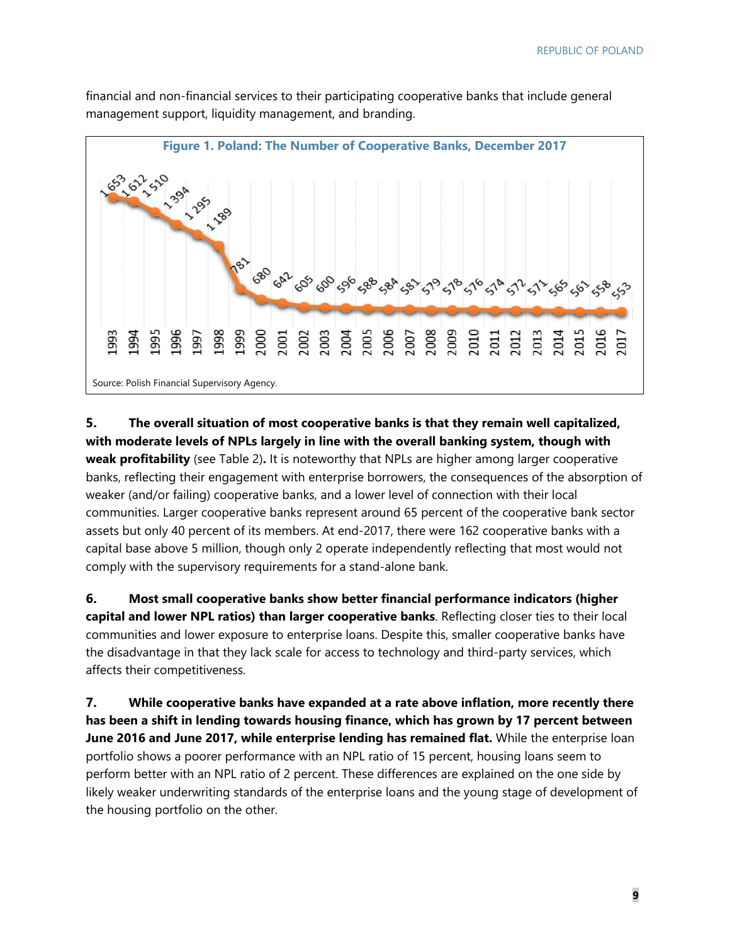

financial and non-financial services to their participating cooperative banks that include general management support, liquidity management, and branding.

#### **5. The overall situation of most cooperative banks is that they remain well capitalized, with moderate levels of NPLs largely in line with the overall banking system, though with weak profitability** (see Table 2)**.** It is noteworthy that NPLs are higher among larger cooperative

banks, reflecting their engagement with enterprise borrowers, the consequences of the absorption of weaker (and/or failing) cooperative banks, and a lower level of connection with their local communities. Larger cooperative banks represent around 65 percent of the cooperative bank sector assets but only 40 percent of its members. At end-2017, there were 162 cooperative banks with a capital base above 5 million, though only 2 operate independently reflecting that most would not comply with the supervisory requirements for a stand-alone bank.

**6. Most small cooperative banks show better financial performance indicators (higher capital and lower NPL ratios) than larger cooperative banks**. Reflecting closer ties to their local communities and lower exposure to enterprise loans. Despite this, smaller cooperative banks have the disadvantage in that they lack scale for access to technology and third-party services, which affects their competitiveness.

**7. While cooperative banks have expanded at a rate above inflation, more recently there has been a shift in lending towards housing finance, which has grown by 17 percent between June 2016 and June 2017, while enterprise lending has remained flat.** While the enterprise loan portfolio shows a poorer performance with an NPL ratio of 15 percent, housing loans seem to perform better with an NPL ratio of 2 percent. These differences are explained on the one side by likely weaker underwriting standards of the enterprise loans and the young stage of development of the housing portfolio on the other.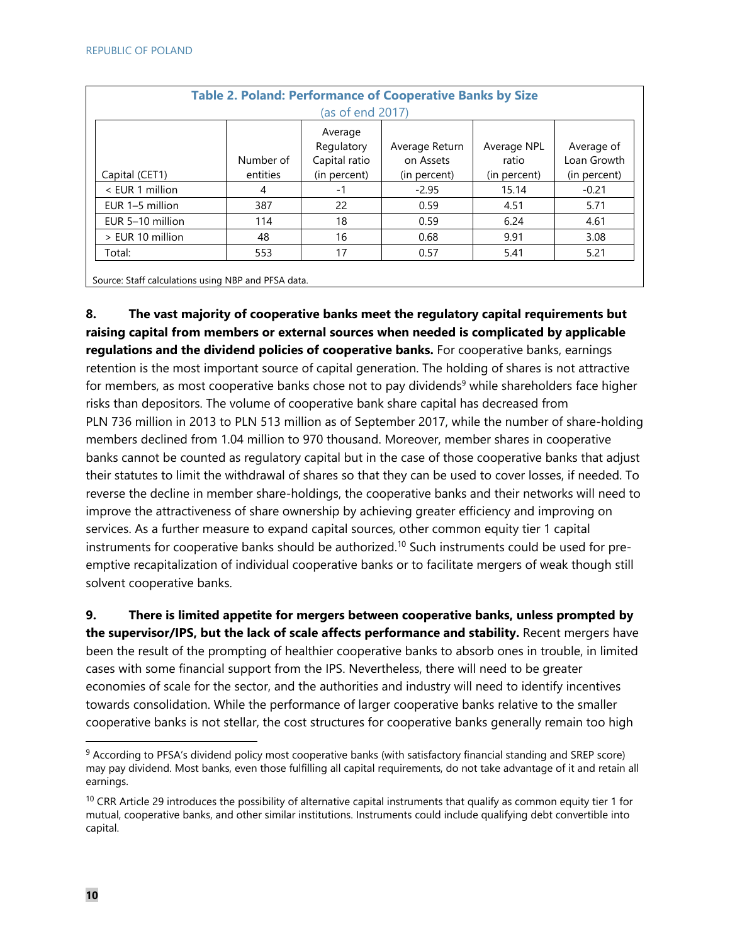| <b>Table 2. Poland: Performance of Cooperative Banks by Size</b> |                  |                       |                |              |              |  |
|------------------------------------------------------------------|------------------|-----------------------|----------------|--------------|--------------|--|
|                                                                  | (as of end 2017) |                       |                |              |              |  |
|                                                                  |                  | Average<br>Regulatory | Average Return | Average NPL  | Average of   |  |
|                                                                  | Number of        | Capital ratio         | on Assets      | ratio        | Loan Growth  |  |
| Capital (CET1)                                                   | entities         | (in percent)          | (in percent)   | (in percent) | (in percent) |  |
| < EUR 1 million                                                  | 4                | -1                    | $-2.95$        | 15.14        | $-0.21$      |  |
| EUR 1-5 million                                                  | 387              | 22                    | 0.59           | 4.51         | 5.71         |  |
| EUR 5-10 million                                                 | 114              | 18                    | 0.59           | 6.24         | 4.61         |  |
| > EUR 10 million                                                 | 48               | 16                    | 0.68           | 9.91         | 3.08         |  |
| Total:                                                           | 553              | 17                    | 0.57           | 5.41         | 5.21         |  |
|                                                                  |                  |                       |                |              |              |  |

Source: Staff calculations using NBP and PFSA data.

**8. The vast majority of cooperative banks meet the regulatory capital requirements but raising capital from members or external sources when needed is complicated by applicable regulations and the dividend policies of cooperative banks.** For cooperative banks, earnings retention is the most important source of capital generation. The holding of shares is not attractive for members, as most cooperative banks chose not to pay dividends<sup>9</sup> while shareholders face higher risks than depositors. The volume of cooperative bank share capital has decreased from PLN 736 million in 2013 to PLN 513 million as of September 2017, while the number of share-holding members declined from 1.04 million to 970 thousand. Moreover, member shares in cooperative banks cannot be counted as regulatory capital but in the case of those cooperative banks that adjust their statutes to limit the withdrawal of shares so that they can be used to cover losses, if needed. To reverse the decline in member share-holdings, the cooperative banks and their networks will need to improve the attractiveness of share ownership by achieving greater efficiency and improving on services. As a further measure to expand capital sources, other common equity tier 1 capital instruments for cooperative banks should be authorized.10 Such instruments could be used for preemptive recapitalization of individual cooperative banks or to facilitate mergers of weak though still solvent cooperative banks.

**9. There is limited appetite for mergers between cooperative banks, unless prompted by the supervisor/IPS, but the lack of scale affects performance and stability.** Recent mergers have been the result of the prompting of healthier cooperative banks to absorb ones in trouble, in limited cases with some financial support from the IPS. Nevertheless, there will need to be greater economies of scale for the sector, and the authorities and industry will need to identify incentives towards consolidation. While the performance of larger cooperative banks relative to the smaller cooperative banks is not stellar, the cost structures for cooperative banks generally remain too high

 9 According to PFSA's dividend policy most cooperative banks (with satisfactory financial standing and SREP score) may pay dividend. Most banks, even those fulfilling all capital requirements, do not take advantage of it and retain all earnings.

 $10$  CRR Article 29 introduces the possibility of alternative capital instruments that qualify as common equity tier 1 for mutual, cooperative banks, and other similar institutions. Instruments could include qualifying debt convertible into capital.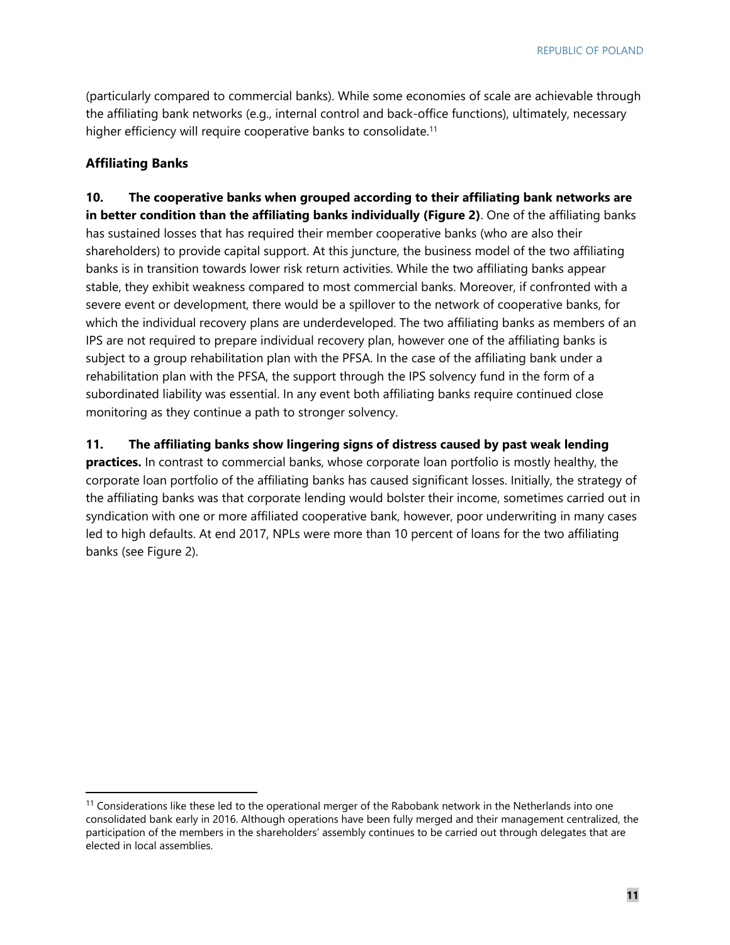(particularly compared to commercial banks). While some economies of scale are achievable through the affiliating bank networks (e.g., internal control and back-office functions), ultimately, necessary higher efficiency will require cooperative banks to consolidate.<sup>11</sup>

#### **Affiliating Banks**

**10. The cooperative banks when grouped according to their affiliating bank networks are in better condition than the affiliating banks individually (Figure 2)**. One of the affiliating banks has sustained losses that has required their member cooperative banks (who are also their shareholders) to provide capital support. At this juncture, the business model of the two affiliating banks is in transition towards lower risk return activities. While the two affiliating banks appear stable, they exhibit weakness compared to most commercial banks. Moreover, if confronted with a severe event or development, there would be a spillover to the network of cooperative banks, for which the individual recovery plans are underdeveloped. The two affiliating banks as members of an IPS are not required to prepare individual recovery plan, however one of the affiliating banks is subject to a group rehabilitation plan with the PFSA. In the case of the affiliating bank under a rehabilitation plan with the PFSA, the support through the IPS solvency fund in the form of a subordinated liability was essential. In any event both affiliating banks require continued close monitoring as they continue a path to stronger solvency.

#### **11. The affiliating banks show lingering signs of distress caused by past weak lending**

**practices.** In contrast to commercial banks, whose corporate loan portfolio is mostly healthy, the corporate loan portfolio of the affiliating banks has caused significant losses. Initially, the strategy of the affiliating banks was that corporate lending would bolster their income, sometimes carried out in syndication with one or more affiliated cooperative bank, however, poor underwriting in many cases led to high defaults. At end 2017, NPLs were more than 10 percent of loans for the two affiliating banks (see Figure 2).

 $11$  Considerations like these led to the operational merger of the Rabobank network in the Netherlands into one consolidated bank early in 2016. Although operations have been fully merged and their management centralized, the participation of the members in the shareholders' assembly continues to be carried out through delegates that are elected in local assemblies.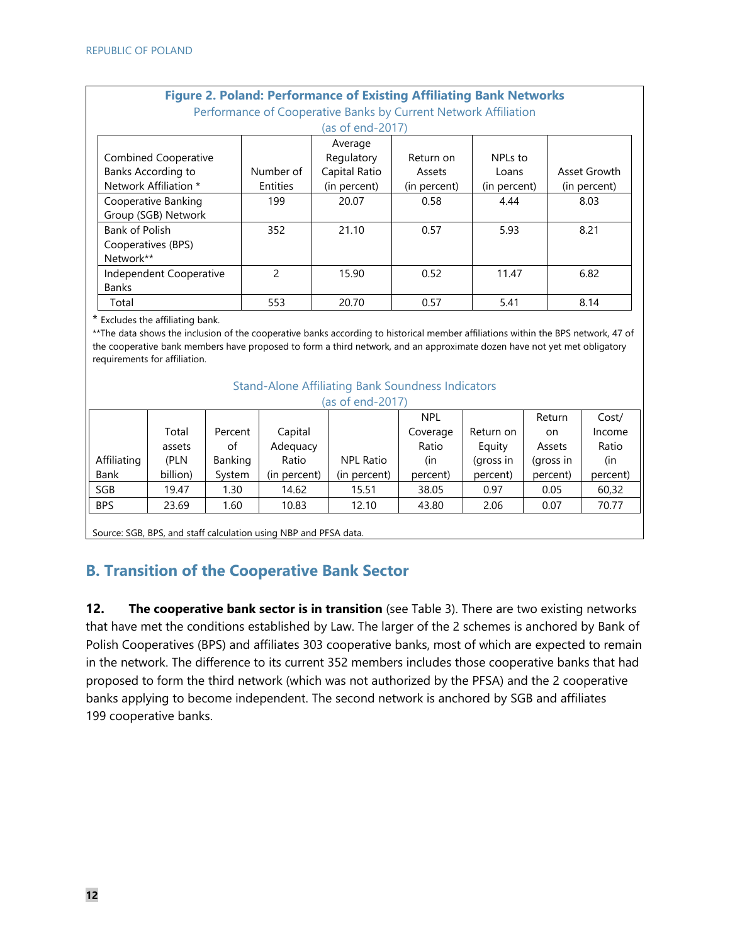| <b>Figure 2. Poland: Performance of Existing Affiliating Bank Networks</b><br>Performance of Cooperative Banks by Current Network Affiliation |                  |               |               |              |              |  |  |
|-----------------------------------------------------------------------------------------------------------------------------------------------|------------------|---------------|---------------|--------------|--------------|--|--|
|                                                                                                                                               | (as of end-2017) |               |               |              |              |  |  |
|                                                                                                                                               |                  | Average       |               |              |              |  |  |
| <b>Combined Cooperative</b>                                                                                                                   |                  | Regulatory    | Return on     | NPLs to      |              |  |  |
| Banks According to                                                                                                                            | Number of        | Capital Ratio | <b>Assets</b> | Loans        | Asset Growth |  |  |
| Network Affiliation *                                                                                                                         | Entities         | (in percent)  | (in percent)  | (in percent) | (in percent) |  |  |
| Cooperative Banking                                                                                                                           | 199              | 20.07         | 0.58          | 4.44         | 8.03         |  |  |
| Group (SGB) Network                                                                                                                           |                  |               |               |              |              |  |  |
| Bank of Polish                                                                                                                                | 352              | 21.10         | 0.57          | 5.93         | 8.21         |  |  |
| Cooperatives (BPS)                                                                                                                            |                  |               |               |              |              |  |  |
| Network**                                                                                                                                     |                  |               |               |              |              |  |  |
| Independent Cooperative                                                                                                                       | $\mathfrak{p}$   | 15.90         | 0.52          | 11.47        | 6.82         |  |  |
| <b>Banks</b>                                                                                                                                  |                  |               |               |              |              |  |  |
| Total                                                                                                                                         | 553              | 20.70         | 0.57          | 5.41         | 8.14         |  |  |

\* Excludes the affiliating bank.

\*\*The data shows the inclusion of the cooperative banks according to historical member affiliations within the BPS network, 47 of the cooperative bank members have proposed to form a third network, and an approximate dozen have not yet met obligatory requirements for affiliation.

| (as of end-2017) |          |         |              |              |            |           |           |          |
|------------------|----------|---------|--------------|--------------|------------|-----------|-----------|----------|
|                  |          |         |              |              | <b>NPL</b> |           | Return    | Cost/    |
|                  | Total    | Percent | Capital      |              | Coverage   | Return on | on.       | Income   |
|                  | assets   | οf      | Adequacy     |              | Ratio      | Equity    | Assets    | Ratio    |
| Affiliating      | (PLN     | Banking | Ratio        | NPL Ratio    | (in        | (gross in | (gross in | (in      |
| <b>Bank</b>      | billion) | System  | (in percent) | (in percent) | percent)   | percent)  | percent)  | percent) |
| <b>SGB</b>       | 19.47    | 1.30    | 14.62        | 15.51        | 38.05      | 0.97      | 0.05      | 60,32    |
| <b>BPS</b>       | 23.69    | 1.60    | 10.83        | 12.10        | 43.80      | 2.06      | 0.07      | 70.77    |

## **B. Transition of the Cooperative Bank Sector**

**12.** The cooperative bank sector is in transition (see Table 3). There are two existing networks that have met the conditions established by Law. The larger of the 2 schemes is anchored by Bank of Polish Cooperatives (BPS) and affiliates 303 cooperative banks, most of which are expected to remain in the network. The difference to its current 352 members includes those cooperative banks that had proposed to form the third network (which was not authorized by the PFSA) and the 2 cooperative banks applying to become independent. The second network is anchored by SGB and affiliates 199 cooperative banks.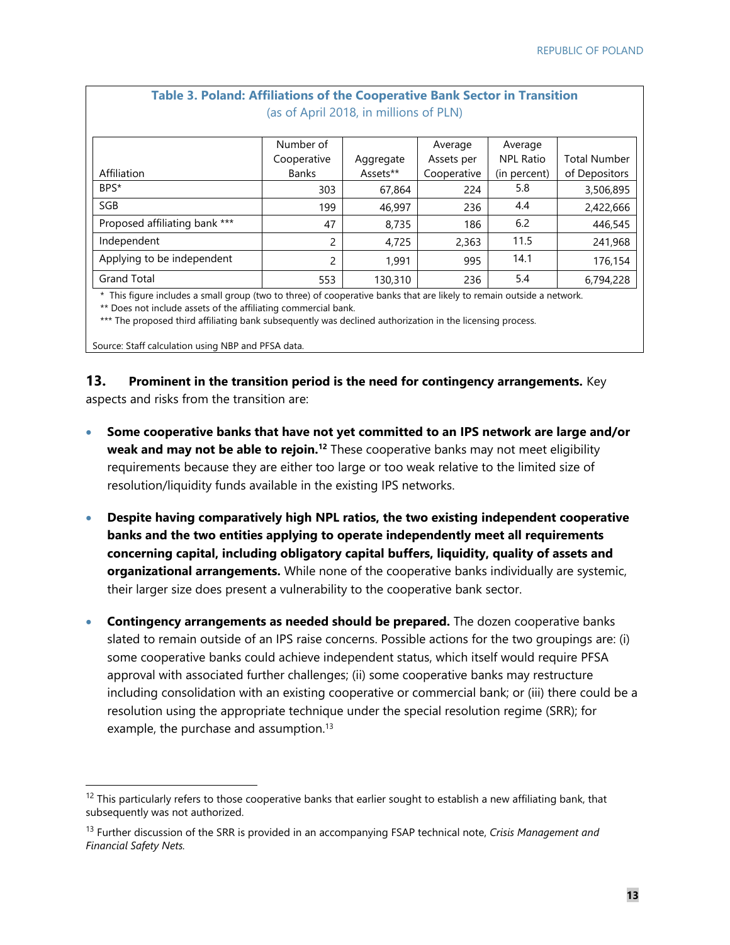| <b>Table 3. Poland: Affiliations of the Cooperative Bank Sector in Transition</b> |  |
|-----------------------------------------------------------------------------------|--|
| (as of April 2018, in millions of PLN)                                            |  |

|                               | Number of    |           | Average     | Average          |                     |
|-------------------------------|--------------|-----------|-------------|------------------|---------------------|
|                               | Cooperative  | Aggregate | Assets per  | <b>NPL Ratio</b> | <b>Total Number</b> |
| Affiliation                   | <b>Banks</b> | Assets**  | Cooperative | (in percent)     | of Depositors       |
| BPS*                          | 303          | 67,864    | 224         | 5.8              | 3,506,895           |
| SGB                           | 199          | 46,997    | 236         | 4.4              | 2,422,666           |
| Proposed affiliating bank *** | 47           | 8,735     | 186         | 6.2              | 446,545             |
| Independent                   | 2            | 4,725     | 2,363       | 11.5             | 241,968             |
| Applying to be independent    | 2            | 1.991     | 995         | 14.1             | 176,154             |
| <b>Grand Total</b>            | 553          | 130,310   | 236         | 5.4              | 6,794,228           |

 \* This figure includes a small group (two to three) of cooperative banks that are likely to remain outside a network. \*\* Does not include assets of the affiliating commercial bank.

\*\*\* The proposed third affiliating bank subsequently was declined authorization in the licensing process.

Source: Staff calculation using NBP and PFSA data.

**13. Prominent in the transition period is the need for contingency arrangements.** Key aspects and risks from the transition are:

- **Some cooperative banks that have not yet committed to an IPS network are large and/or weak and may not be able to rejoin.12** These cooperative banks may not meet eligibility requirements because they are either too large or too weak relative to the limited size of resolution/liquidity funds available in the existing IPS networks.
- **Despite having comparatively high NPL ratios, the two existing independent cooperative banks and the two entities applying to operate independently meet all requirements concerning capital, including obligatory capital buffers, liquidity, quality of assets and organizational arrangements.** While none of the cooperative banks individually are systemic, their larger size does present a vulnerability to the cooperative bank sector.
- **Contingency arrangements as needed should be prepared.** The dozen cooperative banks slated to remain outside of an IPS raise concerns. Possible actions for the two groupings are: (i) some cooperative banks could achieve independent status, which itself would require PFSA approval with associated further challenges; (ii) some cooperative banks may restructure including consolidation with an existing cooperative or commercial bank; or (iii) there could be a resolution using the appropriate technique under the special resolution regime (SRR); for example, the purchase and assumption.<sup>13</sup>

 $12$  This particularly refers to those cooperative banks that earlier sought to establish a new affiliating bank, that subsequently was not authorized.

<sup>13</sup> Further discussion of the SRR is provided in an accompanying FSAP technical note, *Crisis Management and Financial Safety Nets.*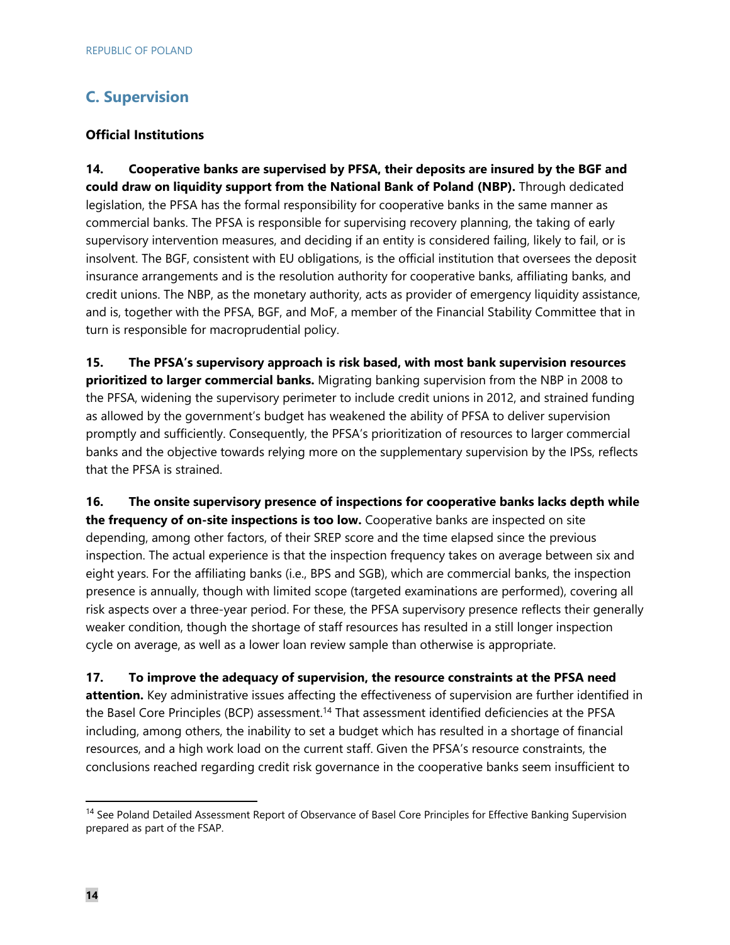## **C. Supervision**

#### **Official Institutions**

**14. Cooperative banks are supervised by PFSA, their deposits are insured by the BGF and could draw on liquidity support from the National Bank of Poland (NBP).** Through dedicated legislation, the PFSA has the formal responsibility for cooperative banks in the same manner as commercial banks. The PFSA is responsible for supervising recovery planning, the taking of early supervisory intervention measures, and deciding if an entity is considered failing, likely to fail, or is insolvent. The BGF, consistent with EU obligations, is the official institution that oversees the deposit insurance arrangements and is the resolution authority for cooperative banks, affiliating banks, and credit unions. The NBP, as the monetary authority, acts as provider of emergency liquidity assistance, and is, together with the PFSA, BGF, and MoF, a member of the Financial Stability Committee that in turn is responsible for macroprudential policy.

**15. The PFSA's supervisory approach is risk based, with most bank supervision resources prioritized to larger commercial banks.** Migrating banking supervision from the NBP in 2008 to the PFSA, widening the supervisory perimeter to include credit unions in 2012, and strained funding as allowed by the government's budget has weakened the ability of PFSA to deliver supervision promptly and sufficiently. Consequently, the PFSA's prioritization of resources to larger commercial banks and the objective towards relying more on the supplementary supervision by the IPSs, reflects that the PFSA is strained.

**16. The onsite supervisory presence of inspections for cooperative banks lacks depth while the frequency of on-site inspections is too low.** Cooperative banks are inspected on site depending, among other factors, of their SREP score and the time elapsed since the previous inspection. The actual experience is that the inspection frequency takes on average between six and eight years. For the affiliating banks (i.e., BPS and SGB), which are commercial banks, the inspection presence is annually, though with limited scope (targeted examinations are performed), covering all risk aspects over a three-year period. For these, the PFSA supervisory presence reflects their generally weaker condition, though the shortage of staff resources has resulted in a still longer inspection cycle on average, as well as a lower loan review sample than otherwise is appropriate.

**17. To improve the adequacy of supervision, the resource constraints at the PFSA need attention.** Key administrative issues affecting the effectiveness of supervision are further identified in the Basel Core Principles (BCP) assessment.<sup>14</sup> That assessment identified deficiencies at the PFSA including, among others, the inability to set a budget which has resulted in a shortage of financial resources, and a high work load on the current staff. Given the PFSA's resource constraints, the conclusions reached regarding credit risk governance in the cooperative banks seem insufficient to

<sup>&</sup>lt;sup>14</sup> See Poland Detailed Assessment Report of Observance of Basel Core Principles for Effective Banking Supervision prepared as part of the FSAP.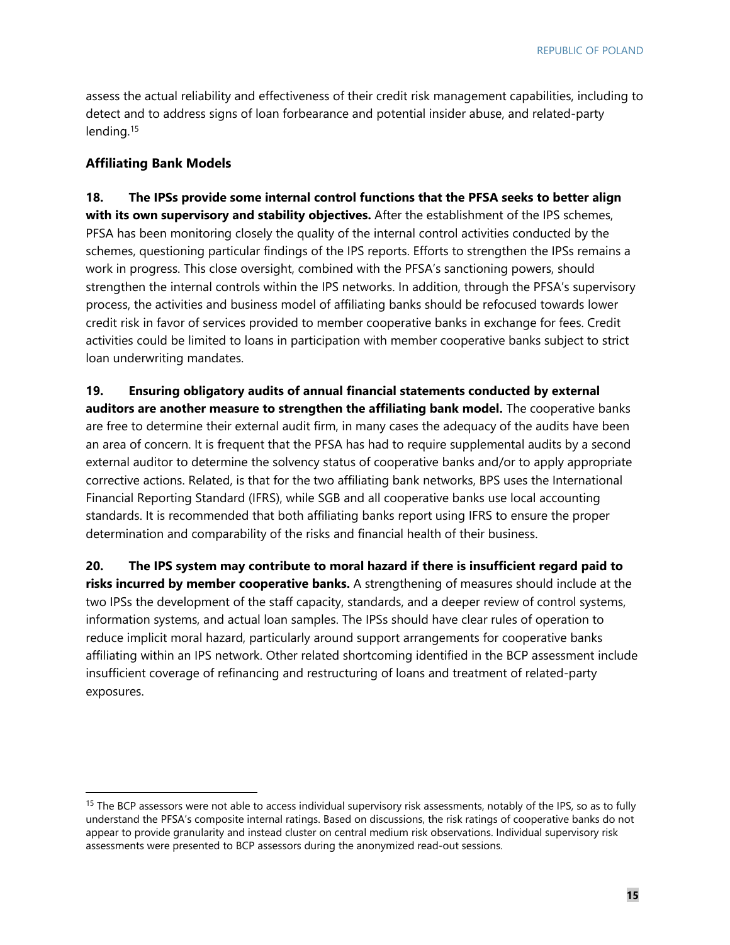assess the actual reliability and effectiveness of their credit risk management capabilities, including to detect and to address signs of loan forbearance and potential insider abuse, and related-party lending.15

#### **Affiliating Bank Models**

**18. The IPSs provide some internal control functions that the PFSA seeks to better align with its own supervisory and stability objectives.** After the establishment of the IPS schemes, PFSA has been monitoring closely the quality of the internal control activities conducted by the schemes, questioning particular findings of the IPS reports. Efforts to strengthen the IPSs remains a work in progress. This close oversight, combined with the PFSA's sanctioning powers, should strengthen the internal controls within the IPS networks. In addition, through the PFSA's supervisory process, the activities and business model of affiliating banks should be refocused towards lower credit risk in favor of services provided to member cooperative banks in exchange for fees. Credit activities could be limited to loans in participation with member cooperative banks subject to strict loan underwriting mandates.

**19. Ensuring obligatory audits of annual financial statements conducted by external auditors are another measure to strengthen the affiliating bank model.** The cooperative banks are free to determine their external audit firm, in many cases the adequacy of the audits have been an area of concern. It is frequent that the PFSA has had to require supplemental audits by a second external auditor to determine the solvency status of cooperative banks and/or to apply appropriate corrective actions. Related, is that for the two affiliating bank networks, BPS uses the International Financial Reporting Standard (IFRS), while SGB and all cooperative banks use local accounting standards. It is recommended that both affiliating banks report using IFRS to ensure the proper determination and comparability of the risks and financial health of their business.

**20. The IPS system may contribute to moral hazard if there is insufficient regard paid to risks incurred by member cooperative banks.** A strengthening of measures should include at the two IPSs the development of the staff capacity, standards, and a deeper review of control systems, information systems, and actual loan samples. The IPSs should have clear rules of operation to reduce implicit moral hazard, particularly around support arrangements for cooperative banks affiliating within an IPS network. Other related shortcoming identified in the BCP assessment include insufficient coverage of refinancing and restructuring of loans and treatment of related-party exposures.

<sup>&</sup>lt;sup>15</sup> The BCP assessors were not able to access individual supervisory risk assessments, notably of the IPS, so as to fully understand the PFSA's composite internal ratings. Based on discussions, the risk ratings of cooperative banks do not appear to provide granularity and instead cluster on central medium risk observations. Individual supervisory risk assessments were presented to BCP assessors during the anonymized read-out sessions.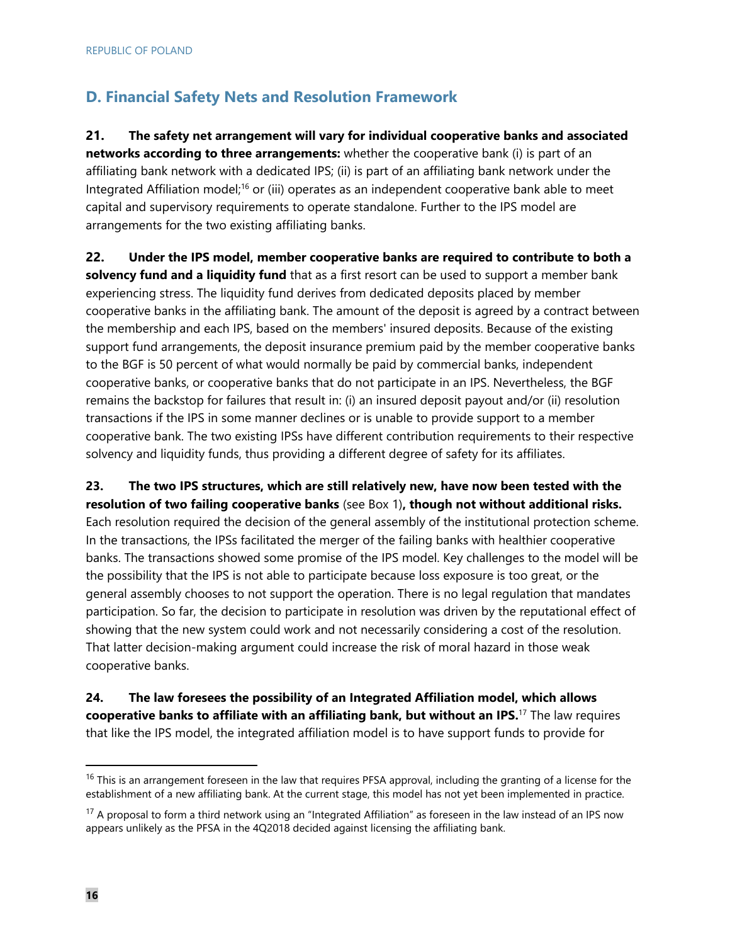## **D. Financial Safety Nets and Resolution Framework**

**21. The safety net arrangement will vary for individual cooperative banks and associated networks according to three arrangements:** whether the cooperative bank (i) is part of an affiliating bank network with a dedicated IPS; (ii) is part of an affiliating bank network under the Integrated Affiliation model;16 or (iii) operates as an independent cooperative bank able to meet capital and supervisory requirements to operate standalone. Further to the IPS model are arrangements for the two existing affiliating banks.

**22. Under the IPS model, member cooperative banks are required to contribute to both a solvency fund and a liquidity fund** that as a first resort can be used to support a member bank experiencing stress. The liquidity fund derives from dedicated deposits placed by member cooperative banks in the affiliating bank. The amount of the deposit is agreed by a contract between the membership and each IPS, based on the members' insured deposits. Because of the existing support fund arrangements, the deposit insurance premium paid by the member cooperative banks to the BGF is 50 percent of what would normally be paid by commercial banks, independent cooperative banks, or cooperative banks that do not participate in an IPS. Nevertheless, the BGF remains the backstop for failures that result in: (i) an insured deposit payout and/or (ii) resolution transactions if the IPS in some manner declines or is unable to provide support to a member cooperative bank. The two existing IPSs have different contribution requirements to their respective solvency and liquidity funds, thus providing a different degree of safety for its affiliates.

**23. The two IPS structures, which are still relatively new, have now been tested with the resolution of two failing cooperative banks** (see Box 1)**, though not without additional risks.** Each resolution required the decision of the general assembly of the institutional protection scheme. In the transactions, the IPSs facilitated the merger of the failing banks with healthier cooperative banks. The transactions showed some promise of the IPS model. Key challenges to the model will be the possibility that the IPS is not able to participate because loss exposure is too great, or the general assembly chooses to not support the operation. There is no legal regulation that mandates participation. So far, the decision to participate in resolution was driven by the reputational effect of showing that the new system could work and not necessarily considering a cost of the resolution. That latter decision-making argument could increase the risk of moral hazard in those weak cooperative banks.

**24. The law foresees the possibility of an Integrated Affiliation model, which allows cooperative banks to affiliate with an affiliating bank, but without an IPS.**17 The law requires that like the IPS model, the integrated affiliation model is to have support funds to provide for

<sup>&</sup>lt;sup>16</sup> This is an arrangement foreseen in the law that requires PFSA approval, including the granting of a license for the establishment of a new affiliating bank. At the current stage, this model has not yet been implemented in practice.

 $17$  A proposal to form a third network using an "Integrated Affiliation" as foreseen in the law instead of an IPS now appears unlikely as the PFSA in the 4Q2018 decided against licensing the affiliating bank.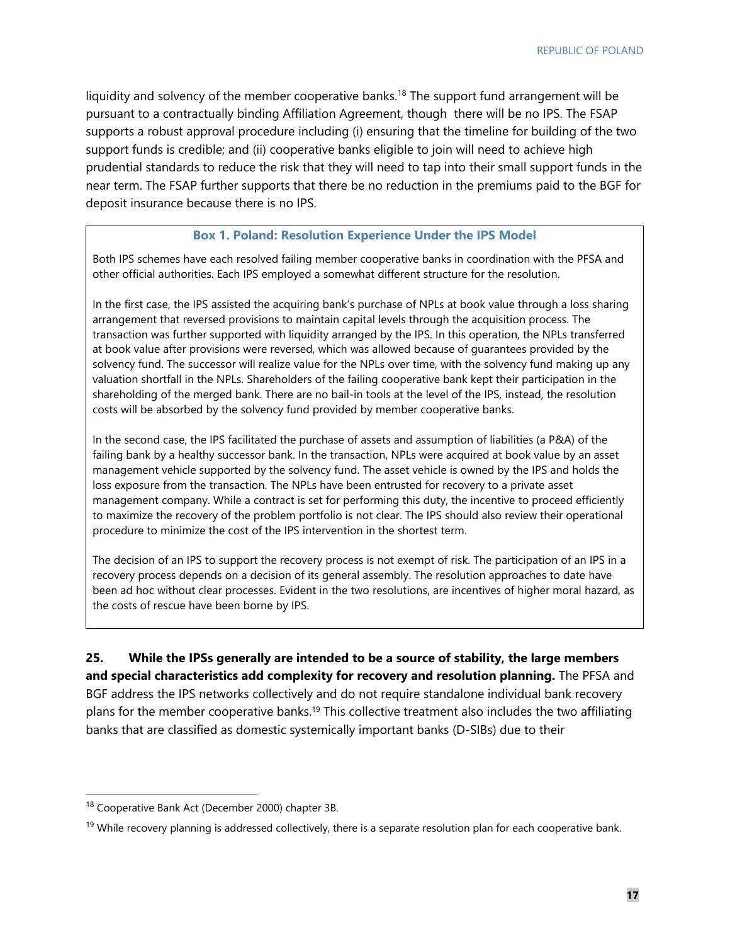liquidity and solvency of the member cooperative banks.<sup>18</sup> The support fund arrangement will be pursuant to a contractually binding Affiliation Agreement, though there will be no IPS. The FSAP supports a robust approval procedure including (i) ensuring that the timeline for building of the two support funds is credible; and (ii) cooperative banks eligible to join will need to achieve high prudential standards to reduce the risk that they will need to tap into their small support funds in the near term. The FSAP further supports that there be no reduction in the premiums paid to the BGF for deposit insurance because there is no IPS.

#### **Box 1. Poland: Resolution Experience Under the IPS Model**

Both IPS schemes have each resolved failing member cooperative banks in coordination with the PFSA and other official authorities. Each IPS employed a somewhat different structure for the resolution.

In the first case, the IPS assisted the acquiring bank's purchase of NPLs at book value through a loss sharing arrangement that reversed provisions to maintain capital levels through the acquisition process. The transaction was further supported with liquidity arranged by the IPS. In this operation, the NPLs transferred at book value after provisions were reversed, which was allowed because of guarantees provided by the solvency fund. The successor will realize value for the NPLs over time, with the solvency fund making up any valuation shortfall in the NPLs. Shareholders of the failing cooperative bank kept their participation in the shareholding of the merged bank. There are no bail-in tools at the level of the IPS, instead, the resolution costs will be absorbed by the solvency fund provided by member cooperative banks.

In the second case, the IPS facilitated the purchase of assets and assumption of liabilities (a P&A) of the failing bank by a healthy successor bank. In the transaction, NPLs were acquired at book value by an asset management vehicle supported by the solvency fund. The asset vehicle is owned by the IPS and holds the loss exposure from the transaction. The NPLs have been entrusted for recovery to a private asset management company. While a contract is set for performing this duty, the incentive to proceed efficiently to maximize the recovery of the problem portfolio is not clear. The IPS should also review their operational procedure to minimize the cost of the IPS intervention in the shortest term.

The decision of an IPS to support the recovery process is not exempt of risk. The participation of an IPS in a recovery process depends on a decision of its general assembly. The resolution approaches to date have been ad hoc without clear processes. Evident in the two resolutions, are incentives of higher moral hazard, as the costs of rescue have been borne by IPS.

**25. While the IPSs generally are intended to be a source of stability, the large members and special characteristics add complexity for recovery and resolution planning.** The PFSA and BGF address the IPS networks collectively and do not require standalone individual bank recovery plans for the member cooperative banks.19 This collective treatment also includes the two affiliating banks that are classified as domestic systemically important banks (D-SIBs) due to their

<sup>18</sup> Cooperative Bank Act (December 2000) chapter 3B.

<sup>&</sup>lt;sup>19</sup> While recovery planning is addressed collectively, there is a separate resolution plan for each cooperative bank.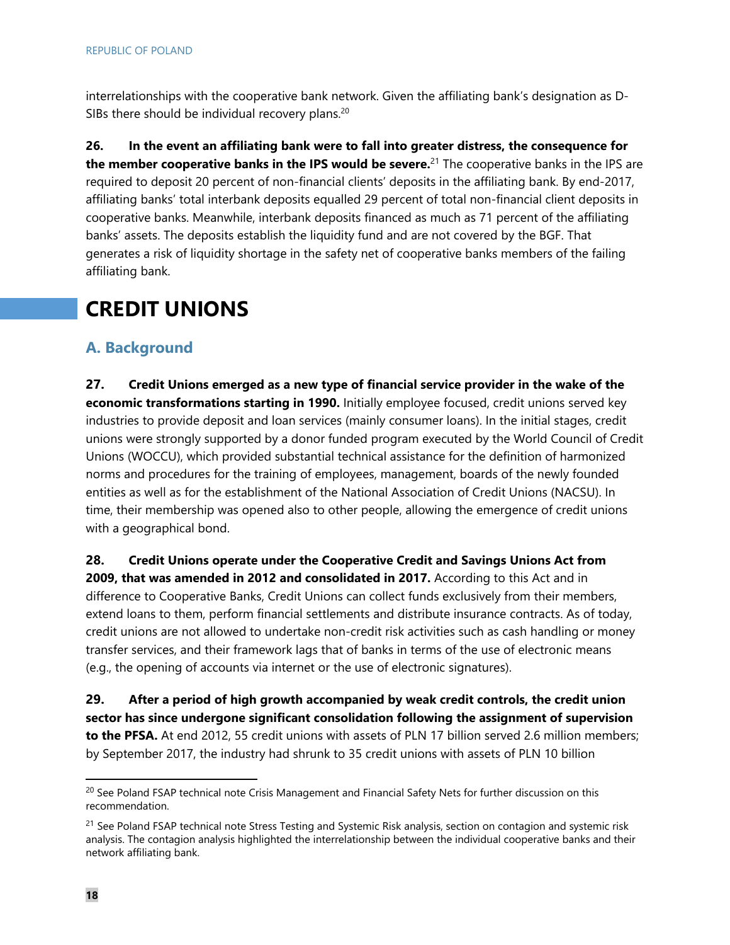interrelationships with the cooperative bank network. Given the affiliating bank's designation as D-SIBs there should be individual recovery plans.<sup>20</sup>

**26. In the event an affiliating bank were to fall into greater distress, the consequence for the member cooperative banks in the IPS would be severe.**21 The cooperative banks in the IPS are required to deposit 20 percent of non-financial clients' deposits in the affiliating bank. By end-2017, affiliating banks' total interbank deposits equalled 29 percent of total non-financial client deposits in cooperative banks. Meanwhile, interbank deposits financed as much as 71 percent of the affiliating banks' assets. The deposits establish the liquidity fund and are not covered by the BGF. That generates a risk of liquidity shortage in the safety net of cooperative banks members of the failing affiliating bank.

# **CREDIT UNIONS**

### **A. Background**

**27. Credit Unions emerged as a new type of financial service provider in the wake of the economic transformations starting in 1990.** Initially employee focused, credit unions served key industries to provide deposit and loan services (mainly consumer loans). In the initial stages, credit unions were strongly supported by a donor funded program executed by the World Council of Credit Unions (WOCCU), which provided substantial technical assistance for the definition of harmonized norms and procedures for the training of employees, management, boards of the newly founded entities as well as for the establishment of the National Association of Credit Unions (NACSU). In time, their membership was opened also to other people, allowing the emergence of credit unions with a geographical bond.

**28. Credit Unions operate under the Cooperative Credit and Savings Unions Act from 2009, that was amended in 2012 and consolidated in 2017.** According to this Act and in difference to Cooperative Banks, Credit Unions can collect funds exclusively from their members, extend loans to them, perform financial settlements and distribute insurance contracts. As of today, credit unions are not allowed to undertake non-credit risk activities such as cash handling or money transfer services, and their framework lags that of banks in terms of the use of electronic means (e.g., the opening of accounts via internet or the use of electronic signatures).

**29. After a period of high growth accompanied by weak credit controls, the credit union sector has since undergone significant consolidation following the assignment of supervision to the PFSA.** At end 2012, 55 credit unions with assets of PLN 17 billion served 2.6 million members; by September 2017, the industry had shrunk to 35 credit unions with assets of PLN 10 billion

<sup>&</sup>lt;sup>20</sup> See Poland FSAP technical note Crisis Management and Financial Safety Nets for further discussion on this recommendation.

<sup>&</sup>lt;sup>21</sup> See Poland FSAP technical note Stress Testing and Systemic Risk analysis, section on contagion and systemic risk analysis. The contagion analysis highlighted the interrelationship between the individual cooperative banks and their network affiliating bank.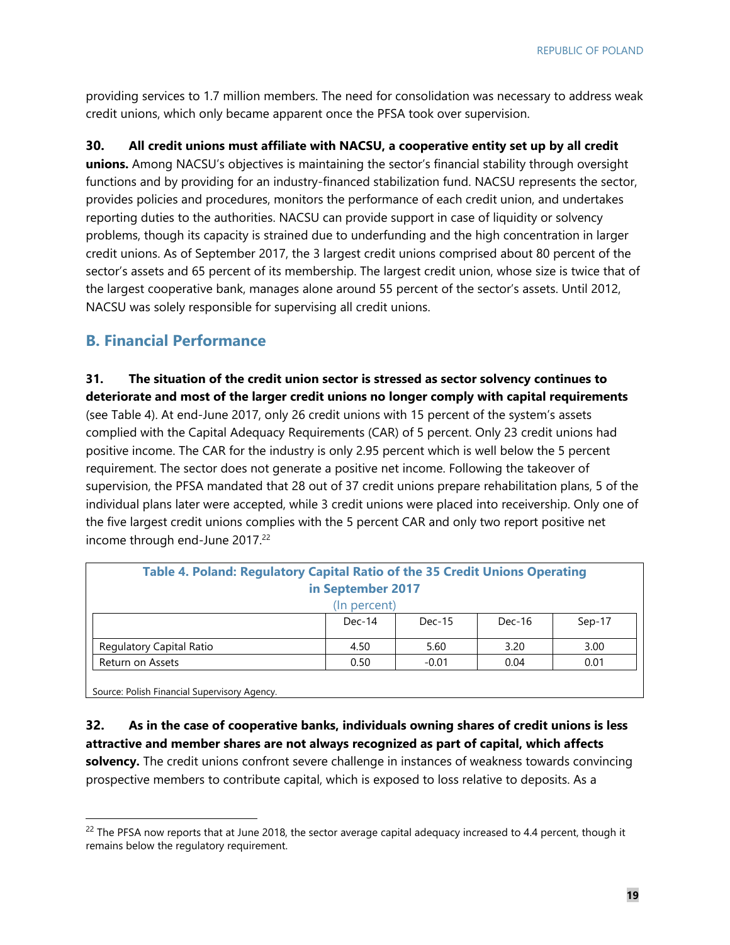providing services to 1.7 million members. The need for consolidation was necessary to address weak credit unions, which only became apparent once the PFSA took over supervision.

**30. All credit unions must affiliate with NACSU, a cooperative entity set up by all credit**

**unions.** Among NACSU's objectives is maintaining the sector's financial stability through oversight functions and by providing for an industry-financed stabilization fund. NACSU represents the sector, provides policies and procedures, monitors the performance of each credit union, and undertakes reporting duties to the authorities. NACSU can provide support in case of liquidity or solvency problems, though its capacity is strained due to underfunding and the high concentration in larger credit unions. As of September 2017, the 3 largest credit unions comprised about 80 percent of the sector's assets and 65 percent of its membership. The largest credit union, whose size is twice that of the largest cooperative bank, manages alone around 55 percent of the sector's assets. Until 2012, NACSU was solely responsible for supervising all credit unions.

#### **B. Financial Performance**

**31. The situation of the credit union sector is stressed as sector solvency continues to deteriorate and most of the larger credit unions no longer comply with capital requirements** (see Table 4). At end-June 2017, only 26 credit unions with 15 percent of the system's assets complied with the Capital Adequacy Requirements (CAR) of 5 percent. Only 23 credit unions had positive income. The CAR for the industry is only 2.95 percent which is well below the 5 percent requirement. The sector does not generate a positive net income. Following the takeover of supervision, the PFSA mandated that 28 out of 37 credit unions prepare rehabilitation plans, 5 of the individual plans later were accepted, while 3 credit unions were placed into receivership. Only one of the five largest credit unions complies with the 5 percent CAR and only two report positive net income through end-June 2017.<sup>22</sup>

| Table 4. Poland: Regulatory Capital Ratio of the 35 Credit Unions Operating<br>in September 2017 |              |          |          |        |  |  |
|--------------------------------------------------------------------------------------------------|--------------|----------|----------|--------|--|--|
|                                                                                                  | (In percent) |          |          |        |  |  |
|                                                                                                  | Dec-14       | $Dec-15$ | $Dec-16$ | Sep-17 |  |  |
| Regulatory Capital Ratio                                                                         | 4.50         | 5.60     | 3.20     | 3.00   |  |  |
| Return on Assets                                                                                 | 0.50         | $-0.01$  | 0.04     | 0.01   |  |  |

Source: Polish Financial Supervisory Agency.

**32. As in the case of cooperative banks, individuals owning shares of credit unions is less attractive and member shares are not always recognized as part of capital, which affects solvency.** The credit unions confront severe challenge in instances of weakness towards convincing prospective members to contribute capital, which is exposed to loss relative to deposits. As a

 $^{22}$  The PFSA now reports that at June 2018, the sector average capital adequacy increased to 4.4 percent, though it remains below the regulatory requirement.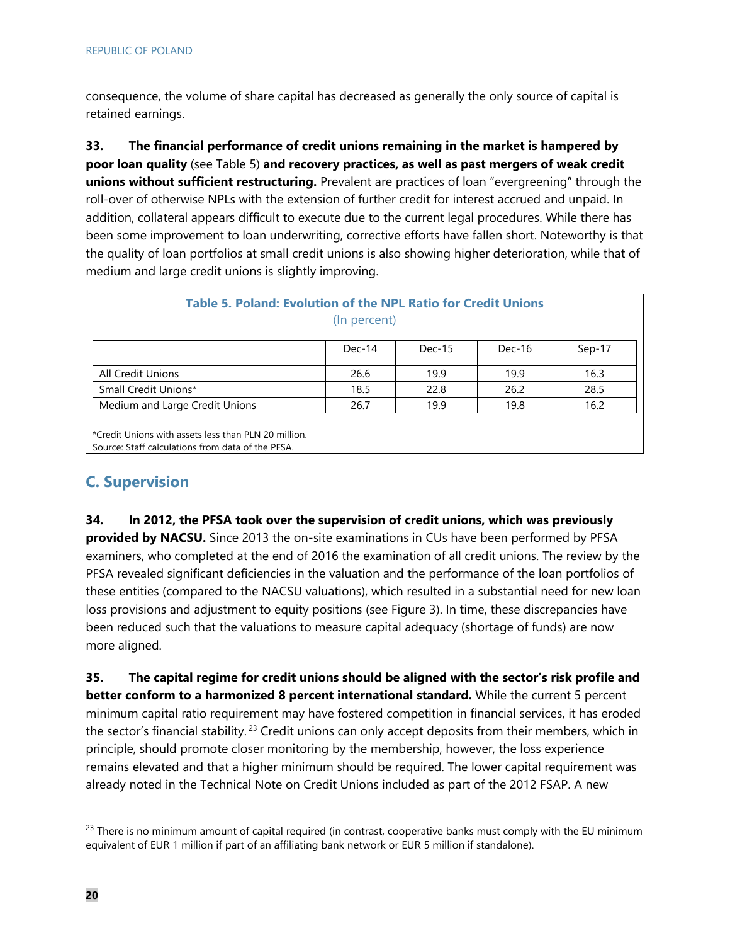consequence, the volume of share capital has decreased as generally the only source of capital is retained earnings.

**33. The financial performance of credit unions remaining in the market is hampered by poor loan quality** (see Table 5) **and recovery practices, as well as past mergers of weak credit unions without sufficient restructuring.** Prevalent are practices of loan "evergreening" through the roll-over of otherwise NPLs with the extension of further credit for interest accrued and unpaid. In addition, collateral appears difficult to execute due to the current legal procedures. While there has been some improvement to loan underwriting, corrective efforts have fallen short. Noteworthy is that the quality of loan portfolios at small credit unions is also showing higher deterioration, while that of medium and large credit unions is slightly improving.

| <b>Table 5. Poland: Evolution of the NPL Ratio for Credit Unions</b> | (In percent) |          |          |        |
|----------------------------------------------------------------------|--------------|----------|----------|--------|
|                                                                      | $Dec-14$     | $Dec-15$ | $Dec-16$ | Sep-17 |
| <b>All Credit Unions</b>                                             | 26.6         | 19.9     | 19.9     | 16.3   |
| Small Credit Unions*                                                 | 18.5         | 22.8     | 26.2     | 28.5   |
| Medium and Large Credit Unions                                       | 26.7         | 19.9     | 19.8     | 16.2   |

\*Credit Unions with assets less than PLN 20 million. Source: Staff calculations from data of the PFSA.

## **C. Supervision**

**34. In 2012, the PFSA took over the supervision of credit unions, which was previously provided by NACSU.** Since 2013 the on-site examinations in CUs have been performed by PFSA examiners, who completed at the end of 2016 the examination of all credit unions. The review by the PFSA revealed significant deficiencies in the valuation and the performance of the loan portfolios of these entities (compared to the NACSU valuations), which resulted in a substantial need for new loan loss provisions and adjustment to equity positions (see Figure 3). In time, these discrepancies have been reduced such that the valuations to measure capital adequacy (shortage of funds) are now more aligned.

**35. The capital regime for credit unions should be aligned with the sector's risk profile and better conform to a harmonized 8 percent international standard.** While the current 5 percent minimum capital ratio requirement may have fostered competition in financial services, it has eroded the sector's financial stability.<sup>23</sup> Credit unions can only accept deposits from their members, which in principle, should promote closer monitoring by the membership, however, the loss experience remains elevated and that a higher minimum should be required. The lower capital requirement was already noted in the Technical Note on Credit Unions included as part of the 2012 FSAP. A new

 $23$  There is no minimum amount of capital required (in contrast, cooperative banks must comply with the EU minimum equivalent of EUR 1 million if part of an affiliating bank network or EUR 5 million if standalone).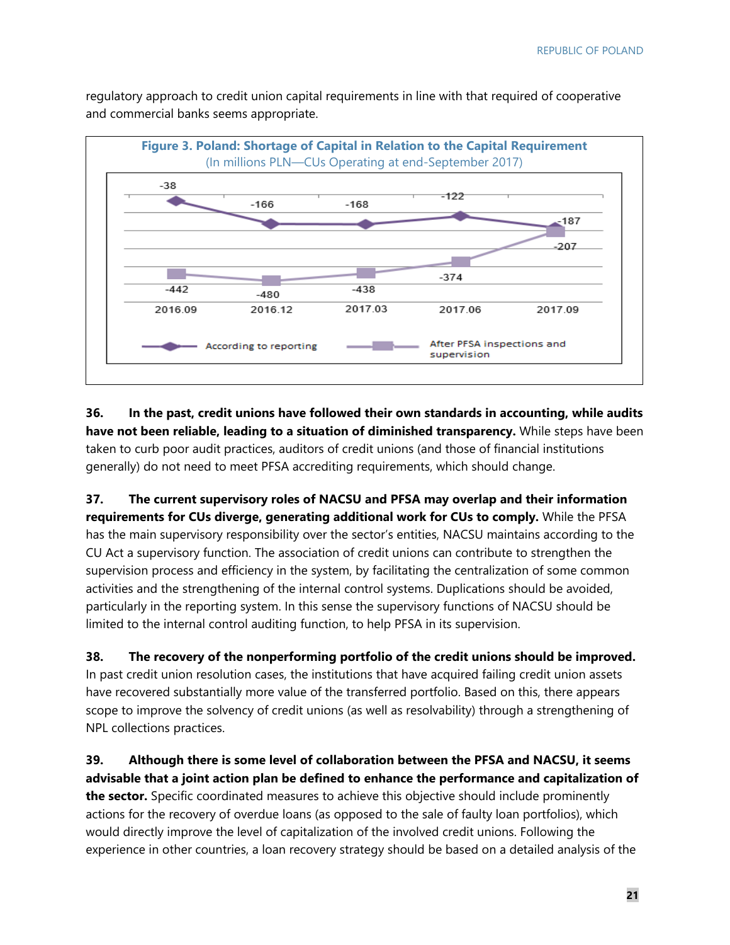regulatory approach to credit union capital requirements in line with that required of cooperative and commercial banks seems appropriate.



**36. In the past, credit unions have followed their own standards in accounting, while audits have not been reliable, leading to a situation of diminished transparency.** While steps have been taken to curb poor audit practices, auditors of credit unions (and those of financial institutions generally) do not need to meet PFSA accrediting requirements, which should change.

**37. The current supervisory roles of NACSU and PFSA may overlap and their information requirements for CUs diverge, generating additional work for CUs to comply.** While the PFSA has the main supervisory responsibility over the sector's entities, NACSU maintains according to the CU Act a supervisory function. The association of credit unions can contribute to strengthen the supervision process and efficiency in the system, by facilitating the centralization of some common activities and the strengthening of the internal control systems. Duplications should be avoided, particularly in the reporting system. In this sense the supervisory functions of NACSU should be limited to the internal control auditing function, to help PFSA in its supervision.

**38. The recovery of the nonperforming portfolio of the credit unions should be improved.**  In past credit union resolution cases, the institutions that have acquired failing credit union assets have recovered substantially more value of the transferred portfolio. Based on this, there appears scope to improve the solvency of credit unions (as well as resolvability) through a strengthening of NPL collections practices.

**39. Although there is some level of collaboration between the PFSA and NACSU, it seems advisable that a joint action plan be defined to enhance the performance and capitalization of the sector.** Specific coordinated measures to achieve this objective should include prominently actions for the recovery of overdue loans (as opposed to the sale of faulty loan portfolios), which would directly improve the level of capitalization of the involved credit unions. Following the experience in other countries, a loan recovery strategy should be based on a detailed analysis of the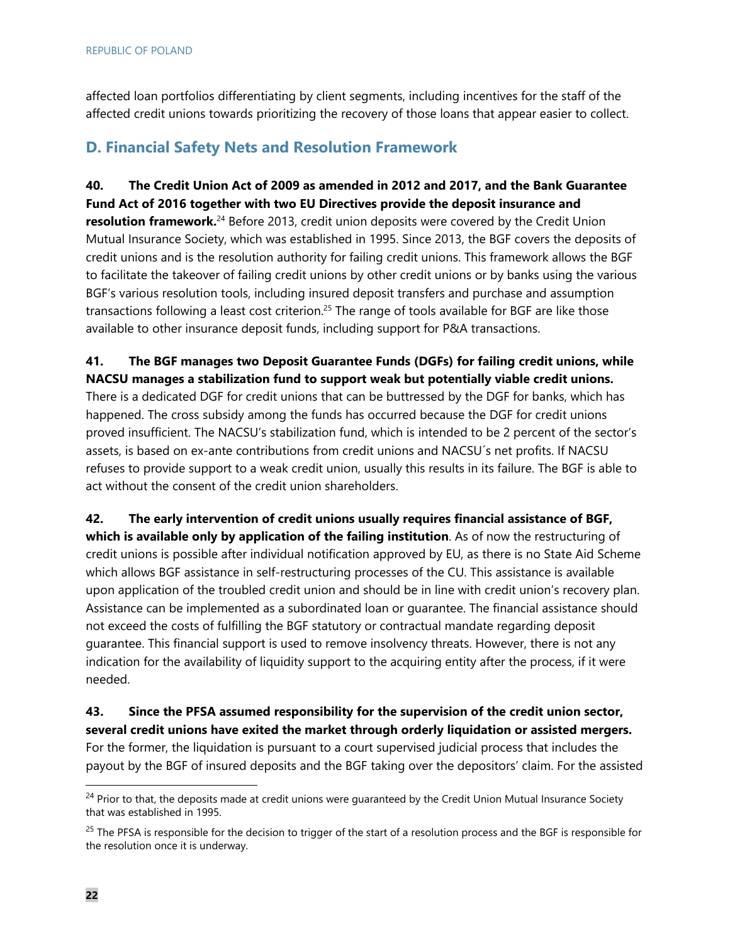affected loan portfolios differentiating by client segments, including incentives for the staff of the affected credit unions towards prioritizing the recovery of those loans that appear easier to collect.

## **D. Financial Safety Nets and Resolution Framework**

**40. The Credit Union Act of 2009 as amended in 2012 and 2017, and the Bank Guarantee Fund Act of 2016 together with two EU Directives provide the deposit insurance and resolution framework.**<sup>24</sup> Before 2013, credit union deposits were covered by the Credit Union Mutual Insurance Society, which was established in 1995. Since 2013, the BGF covers the deposits of credit unions and is the resolution authority for failing credit unions. This framework allows the BGF to facilitate the takeover of failing credit unions by other credit unions or by banks using the various BGF's various resolution tools, including insured deposit transfers and purchase and assumption transactions following a least cost criterion.<sup>25</sup> The range of tools available for BGF are like those available to other insurance deposit funds, including support for P&A transactions.

**41. The BGF manages two Deposit Guarantee Funds (DGFs) for failing credit unions, while NACSU manages a stabilization fund to support weak but potentially viable credit unions.**

There is a dedicated DGF for credit unions that can be buttressed by the DGF for banks, which has happened. The cross subsidy among the funds has occurred because the DGF for credit unions proved insufficient. The NACSU's stabilization fund, which is intended to be 2 percent of the sector's assets, is based on ex-ante contributions from credit unions and NACSU´s net profits. If NACSU refuses to provide support to a weak credit union, usually this results in its failure. The BGF is able to act without the consent of the credit union shareholders.

**42. The early intervention of credit unions usually requires financial assistance of BGF, which is available only by application of the failing institution**. As of now the restructuring of credit unions is possible after individual notification approved by EU, as there is no State Aid Scheme which allows BGF assistance in self-restructuring processes of the CU. This assistance is available upon application of the troubled credit union and should be in line with credit union's recovery plan. Assistance can be implemented as a subordinated loan or guarantee. The financial assistance should not exceed the costs of fulfilling the BGF statutory or contractual mandate regarding deposit guarantee. This financial support is used to remove insolvency threats. However, there is not any indication for the availability of liquidity support to the acquiring entity after the process, if it were needed.

**43. Since the PFSA assumed responsibility for the supervision of the credit union sector, several credit unions have exited the market through orderly liquidation or assisted mergers.** For the former, the liquidation is pursuant to a court supervised judicial process that includes the payout by the BGF of insured deposits and the BGF taking over the depositors' claim. For the assisted

<sup>&</sup>lt;sup>24</sup> Prior to that, the deposits made at credit unions were guaranteed by the Credit Union Mutual Insurance Society that was established in 1995.

<sup>&</sup>lt;sup>25</sup> The PFSA is responsible for the decision to trigger of the start of a resolution process and the BGF is responsible for the resolution once it is underway.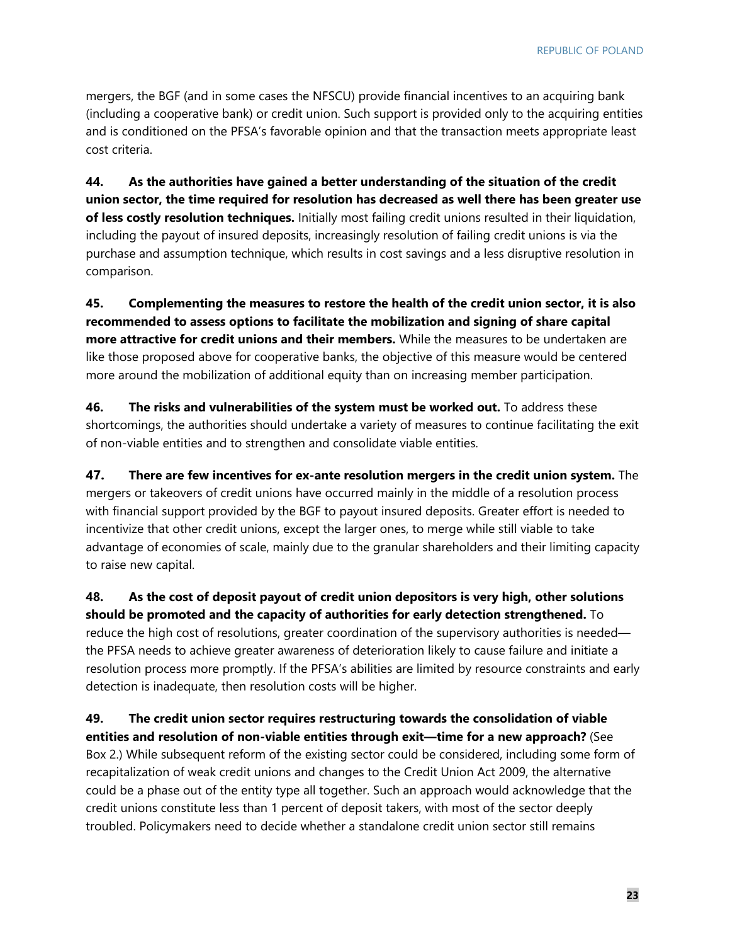mergers, the BGF (and in some cases the NFSCU) provide financial incentives to an acquiring bank (including a cooperative bank) or credit union. Such support is provided only to the acquiring entities and is conditioned on the PFSA's favorable opinion and that the transaction meets appropriate least cost criteria.

**44. As the authorities have gained a better understanding of the situation of the credit union sector, the time required for resolution has decreased as well there has been greater use of less costly resolution techniques.** Initially most failing credit unions resulted in their liquidation, including the payout of insured deposits, increasingly resolution of failing credit unions is via the purchase and assumption technique, which results in cost savings and a less disruptive resolution in comparison.

**45. Complementing the measures to restore the health of the credit union sector, it is also recommended to assess options to facilitate the mobilization and signing of share capital more attractive for credit unions and their members.** While the measures to be undertaken are like those proposed above for cooperative banks, the objective of this measure would be centered more around the mobilization of additional equity than on increasing member participation.

**46. The risks and vulnerabilities of the system must be worked out.** To address these shortcomings, the authorities should undertake a variety of measures to continue facilitating the exit of non-viable entities and to strengthen and consolidate viable entities.

**47. There are few incentives for ex-ante resolution mergers in the credit union system.** The mergers or takeovers of credit unions have occurred mainly in the middle of a resolution process with financial support provided by the BGF to payout insured deposits. Greater effort is needed to incentivize that other credit unions, except the larger ones, to merge while still viable to take advantage of economies of scale, mainly due to the granular shareholders and their limiting capacity to raise new capital.

**48. As the cost of deposit payout of credit union depositors is very high, other solutions should be promoted and the capacity of authorities for early detection strengthened.** To reduce the high cost of resolutions, greater coordination of the supervisory authorities is needed the PFSA needs to achieve greater awareness of deterioration likely to cause failure and initiate a resolution process more promptly. If the PFSA's abilities are limited by resource constraints and early detection is inadequate, then resolution costs will be higher.

**49. The credit union sector requires restructuring towards the consolidation of viable entities and resolution of non-viable entities through exit—time for a new approach?** (See Box 2.) While subsequent reform of the existing sector could be considered, including some form of recapitalization of weak credit unions and changes to the Credit Union Act 2009, the alternative could be a phase out of the entity type all together. Such an approach would acknowledge that the credit unions constitute less than 1 percent of deposit takers, with most of the sector deeply troubled. Policymakers need to decide whether a standalone credit union sector still remains